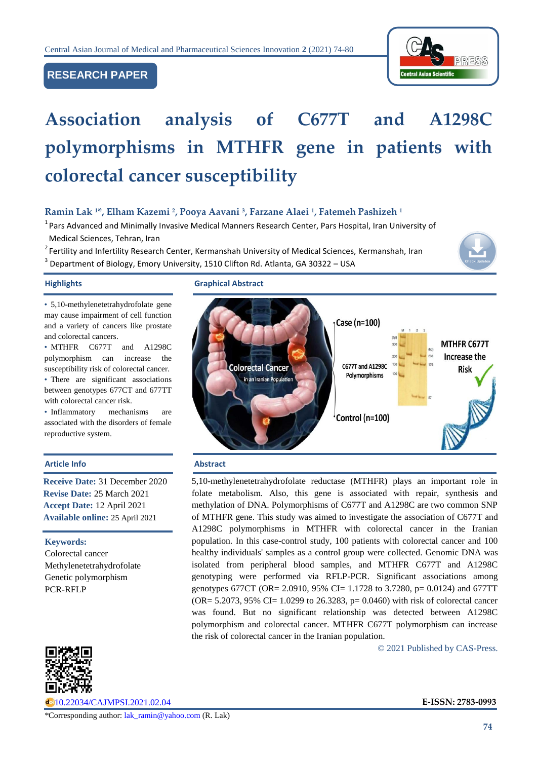# **RESEARCH PAPER**



# **Association analysis of C677T and A1298C polymorphisms in MTHFR gene in patients with colorectal cancer susceptibility**

# **Ramin Lak <sup>1</sup>\*, Elham Kazemi <sup>2</sup> , Pooya Aavani <sup>3</sup> , Farzane Alaei <sup>1</sup> , Fatemeh Pashizeh <sup>1</sup>**

<sup>1</sup> Pars Advanced and Minimally Invasive Medical Manners Research Center, Pars Hospital, Iran University of Medical Sciences, Tehran, Iran

<sup>2</sup> Fertility and Infertility Research Center, Kermanshah University of Medical Sciences, Kermanshah, Iran

 $^3$  Department of Biology, Emory University, 1510 Clifton Rd. Atlanta, GA 30322 – USA

• 5,10-methylenetetrahydrofolate gene may cause impairment of cell function and a variety of cancers like prostate and colorectal cancers.

• MTHFR C677T and A1298C polymorphism can increase the susceptibility risk of colorectal cancer. • There are significant associations between genotypes 677CT and 677TT with colorectal cancer risk.

• Inflammatory mechanisms are associated with the disorders of female reproductive system.

#### **Article Info Abstract**

**Receive Date:** 31 December 2020 **Revise Date:** 25 March 2021 **Accept Date:** 12 April 2021 **Available online:** 25 April 2021

**Keywords:**  Colorectal cancer Methylenetetrahydrofolate Genetic polymorphism PCR-RFLP



[10.22034/CAJMPSI.2021.02.04](http://www.cajmpsi.com/article_129938.html) **E-ISSN: 2783-0993**

#### **Highlights Graphical Abstract**



5,10-methylenetetrahydrofolate reductase (MTHFR) plays an important role in folate metabolism. Also, this gene is associated with repair, synthesis and methylation of DNA. Polymorphisms of C677T and A1298C are two common SNP of MTHFR gene. This study was aimed to investigate the association of C677T and A1298C polymorphisms in MTHFR with colorectal cancer in the Iranian population. In this case-control study, 100 patients with colorectal cancer and 100 healthy individuals' samples as a control group were collected. Genomic DNA was isolated from peripheral blood samples, and MTHFR C677T and A1298C genotyping were performed via RFLP-PCR. Significant associations among genotypes 677CT (OR= 2.0910, 95% CI= 1.1728 to 3.7280, p= 0.0124) and 677TT  $(OR = 5.2073, 95\% CI = 1.0299$  to 26.3283,  $p = 0.0460$ ) with risk of colorectal cancer was found. But no significant relationship was detected between A1298C polymorphism and colorectal cancer. MTHFR C677T polymorphism can increase the risk of colorectal cancer in the Iranian population.

© 2021 Published by CAS-Press.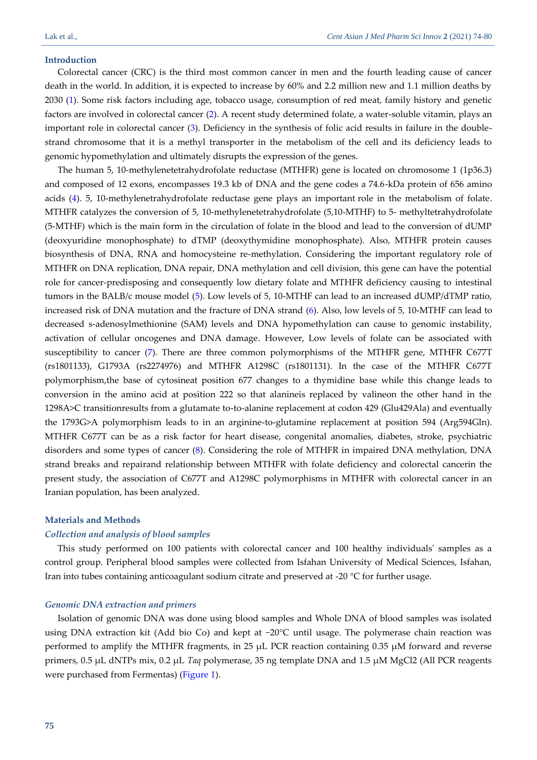### **Introduction**

Colorectal cancer (CRC) is the third most common cancer in men and the fourth leading cause of cancer death in the world. In addition, it is expected to increase by 60% and 2.2 million new and 1.1 million deaths by 2030 [\(1\)](#page-5-0). Some risk factors including age, tobacco usage, consumption of red meat, family history and genetic factors are involved in colorectal cancer [\(2\)](#page-5-1). A recent study determined folate, a water-soluble vitamin, plays an important role in colorectal cancer [\(3\)](#page-5-2). Deficiency in the synthesis of folic acid results in failure in the doublestrand chromosome that it is a methyl transporter in the metabolism of the cell and its deficiency leads to genomic hypomethylation and ultimately disrupts the expression of the genes.

The human 5, 10-methylenetetrahydrofolate reductase (MTHFR) gene is located on chromosome 1 (1p36.3) and composed of 12 exons, encompasses 19.3 kb of DNA and the gene codes a 74.6-kDa protein of 656 amino acids [\(4\)](#page-5-3). 5, 10-methylenetrahydrofolate reductase gene plays an important role in the metabolism of folate. MTHFR catalyzes the conversion of 5, 10-methylenetetrahydrofolate (5,10-MTHF) to 5- methyltetrahydrofolate (5-MTHF) which is the main form in the circulation of folate in the blood and lead to the conversion of dUMP (deoxyuridine monophosphate) to dTMP (deoxythymidine monophosphate). Also, MTHFR protein causes biosynthesis of DNA, RNA and homocysteine re-methylation. Considering the important regulatory role of MTHFR on DNA replication, DNA repair, DNA methylation and cell division, this gene can have the potential role for cancer-predisposing and consequently low dietary folate and MTHFR deficiency causing to intestinal tumors in the BALB/c mouse model [\(5\)](#page-5-4). Low levels of 5, 10-MTHF can lead to an increased dUMP/dTMP ratio, increased risk of DNA mutation and the fracture of DNA strand [\(6\)](#page-5-5). Also, low levels of 5, 10-MTHF can lead to decreased s-adenosylmethionine (SAM) levels and DNA hypomethylation can cause to genomic instability, activation of cellular oncogenes and DNA damage. However, Low levels of folate can be associated with susceptibility to cancer [\(7\)](#page-5-6). There are three common polymorphisms of the MTHFR gene, MTHFR C677T (rs1801133), G1793A (rs2274976) and MTHFR A1298C (rs1801131). In the case of the MTHFR C677T polymorphism,the base of cytosineat position 677 changes to a thymidine base while this change leads to conversion in the amino acid at position 222 so that alanineis replaced by valineon the other hand in the 1298A>C transitionresults from a glutamate to-to-alanine replacement at codon 429 (Glu429Ala) and eventually the 1793G>A polymorphism leads to in an arginine-to-glutamine replacement at position 594 (Arg594Gln). MTHFR C677T can be as a risk factor for heart disease, congenital anomalies, diabetes, stroke, psychiatric disorders and some types of cancer [\(8\)](#page-5-7). Considering the role of MTHFR in impaired DNA methylation, DNA strand breaks and repairand relationship between MTHFR with folate deficiency and colorectal cancerin the present study, the association of C677T and A1298C polymorphisms in MTHFR with colorectal cancer in an Iranian population, has been analyzed.

#### **Materials and Methods**

#### *Collection and analysis of blood samples*

This study performed on 100 patients with colorectal cancer and 100 healthy individuals' samples as a control group. Peripheral blood samples were collected from Isfahan University of Medical Sciences, Isfahan, Iran into tubes containing anticoagulant sodium citrate and preserved at -20 °C for further usage.

#### *Genomic DNA extraction and primers*

Isolation of genomic DNA was done using blood samples and Whole DNA of blood samples was isolated using DNA extraction kit (Add bio Co) and kept at −20°C until usage. The polymerase chain reaction was performed to amplify the MTHFR fragments, in 25  $\mu$ L PCR reaction containing 0.35  $\mu$ M forward and reverse primers, 0.5 µL dNTPs mix, 0.2 µL *Taq* polymerase, 35 ng template DNA and 1.5 µM MgCl2 (All PCR reagents were purchased from Fermentas) [\(Figure 1\)](#page-2-0).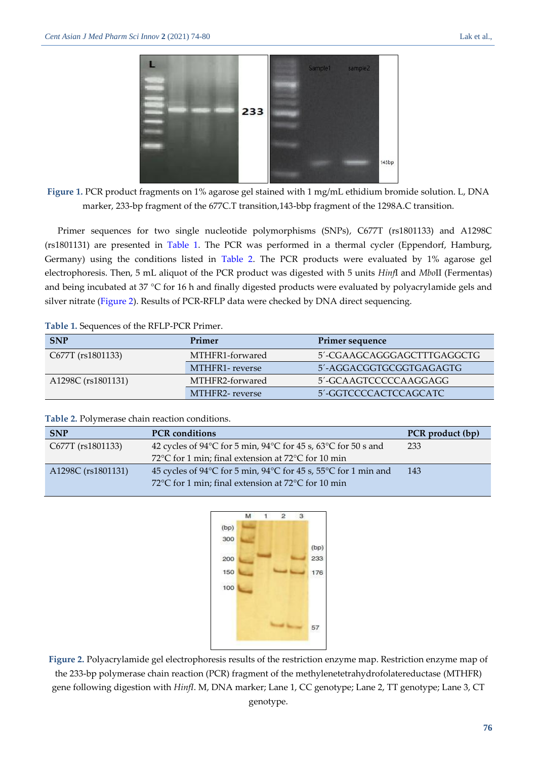

<span id="page-2-0"></span>**Figure 1.** PCR product fragments on 1% agarose gel stained with 1 mg/mL ethidium bromide solution. L, DNA marker, 233-bp fragment of the 677C.T transition,143-bbp fragment of the 1298A.C transition.

Primer sequences for two single nucleotide polymorphisms (SNPs), C677T (rs1801133) and A1298C (rs1801131) are presented in [Table 1.](#page-2-1) The PCR was performed in a thermal cycler (Eppendorf, Hamburg, Germany) using the conditions listed in [Table 2.](#page-2-2) The PCR products were evaluated by 1% agarose gel electrophoresis. Then, 5 mL aliquot of the PCR product was digested with 5 units *Hinf*I and *Mbo*II (Fermentas) and being incubated at 37 °C for 16 h and finally digested products were evaluated by polyacrylamide gels and silver nitrate [\(Figure 2\)](#page-2-3). Results of PCR-RFLP data were checked by DNA direct sequencing.

## <span id="page-2-1"></span>**Table 1.** Sequences of the RFLP-PCR Primer.

| <b>SNP</b>         | Primer          | Primer sequence            |
|--------------------|-----------------|----------------------------|
| C677T (rs1801133)  | MTHFR1-forwared | 5'-CGAAGCAGGGAGCTTTGAGGCTG |
|                    | MTHFR1-reverse  | 5'-AGGACGGTGCGGTGAGAGTG    |
| A1298C (rs1801131) | MTHFR2-forwared | 5'-GCAAGTCCCCCAAGGAGG      |
|                    | MTHFR2-reverse  | 5'-GGTCCCCACTCCAGCATC      |

## <span id="page-2-2"></span>**Table 2.** Polymerase chain reaction conditions.

| <b>SNP</b>         | <b>PCR</b> conditions                                                                        | PCR product (bp) |
|--------------------|----------------------------------------------------------------------------------------------|------------------|
| C677T (rs1801133)  | 42 cycles of $94^{\circ}$ C for 5 min, $94^{\circ}$ C for 45 s, 63 $^{\circ}$ C for 50 s and | 233              |
|                    | 72 $\degree$ C for 1 min; final extension at 72 $\degree$ C for 10 min                       |                  |
| A1298C (rs1801131) | 45 cycles of 94 °C for 5 min, 94 °C for 45 s, 55 °C for 1 min and                            | 143              |
|                    | 72 $\degree$ C for 1 min; final extension at 72 $\degree$ C for 10 min                       |                  |



<span id="page-2-3"></span>**Figure 2.** Polyacrylamide gel electrophoresis results of the restriction enzyme map. Restriction enzyme map of the 233-bp polymerase chain reaction (PCR) fragment of the methylenetetrahydrofolatereductase (MTHFR) gene following digestion with *HinfI*. M, DNA marker; Lane 1, CC genotype; Lane 2, TT genotype; Lane 3, CT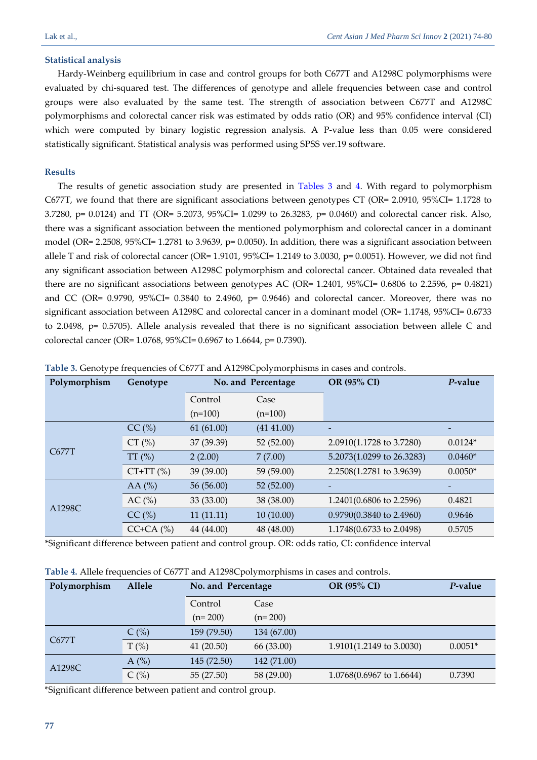# **Statistical analysis**

Hardy-Weinberg equilibrium in case and control groups for both C677T and A1298C polymorphisms were evaluated by chi-squared test. The differences of genotype and allele frequencies between case and control groups were also evaluated by the same test. The strength of association between C677T and A1298C polymorphisms and colorectal cancer risk was estimated by odds ratio (OR) and 95% confidence interval (CI) which were computed by binary logistic regression analysis. A P-value less than 0.05 were considered statistically significant. Statistical analysis was performed using SPSS ver.19 software.

# **Results**

The results of genetic association study are presented in [Tables 3](#page-3-0) and [4.](#page-3-1) With regard to polymorphism C677T, we found that there are significant associations between genotypes CT (OR= 2.0910, 95%CI= 1.1728 to 3.7280, p= 0.0124) and TT (OR= 5.2073, 95%CI= 1.0299 to 26.3283, p= 0.0460) and colorectal cancer risk. Also, there was a significant association between the mentioned polymorphism and colorectal cancer in a dominant model (OR= 2.2508, 95%CI= 1.2781 to 3.9639, p= 0.0050). In addition, there was a significant association between allele T and risk of colorectal cancer (OR= 1.9101, 95%CI= 1.2149 to 3.0030, p= 0.0051). However, we did not find any significant association between A1298C polymorphism and colorectal cancer. Obtained data revealed that there are no significant associations between genotypes AC (OR= 1.2401, 95%CI= 0.6806 to 2.2596, p= 0.4821) and CC (OR=  $0.9790$ ,  $95\%$ CI=  $0.3840$  to 2.4960, p=  $0.9646$ ) and colorectal cancer. Moreover, there was no significant association between A1298C and colorectal cancer in a dominant model (OR= 1.1748, 95%CI= 0.6733 to 2.0498, p= 0.5705). Allele analysis revealed that there is no significant association between allele C and colorectal cancer (OR= 1.0768, 95%CI= 0.6967 to 1.6644, p= 0.7390).

| Polymorphism | Genotype       | No. and Percentage |            | OR (95% CI)               | P-value   |
|--------------|----------------|--------------------|------------|---------------------------|-----------|
|              |                | Control            | Case       |                           |           |
|              |                | $(n=100)$          | $(n=100)$  |                           |           |
| C677T        | $CC$ (%)       | 61(61.00)          | (41 41.00) |                           |           |
|              | $CT$ (%)       | 37 (39.39)         | 52(52.00)  | 2.0910(1.1728 to 3.7280)  | $0.0124*$ |
|              | $TT$ $%$       | 2(2.00)            | 7(7.00)    | 5.2073(1.0299 to 26.3283) | $0.0460*$ |
|              | $CT+TT$ (%)    | 39 (39.00)         | 59 (59.00) | 2.2508(1.2781 to 3.9639)  | $0.0050*$ |
| A1298C       | AA $(%)$       | 56 (56.00)         | 52(52.00)  |                           |           |
|              | AC(%)          | 33 (33.00)         | 38 (38.00) | 1.2401(0.6806 to 2.2596)  | 0.4821    |
|              | $CC$ (%)       | 11(11.11)          | 10(10.00)  | 0.9790(0.3840 to 2.4960)  | 0.9646    |
|              | $CC+CA$ $(\%)$ | 44 (44.00)         | 48 (48.00) | 1.1748(0.6733 to 2.0498)  | 0.5705    |

<span id="page-3-0"></span>**Table 3.** Genotype frequencies of C677T and A1298Cpolymorphisms in cases and controls.

\*Significant difference between patient and control group. OR: odds ratio, CI: confidence interval

<span id="page-3-1"></span>

|  | Table 4. Allele frequencies of C677T and A1298Cpolymorphisms in cases and controls. |  |
|--|-------------------------------------------------------------------------------------|--|
|--|-------------------------------------------------------------------------------------|--|

| Polymorphism | Allele  | No. and Percentage |             | OR (95% CI)              | P-value   |
|--------------|---------|--------------------|-------------|--------------------------|-----------|
|              |         | Control            | Case        |                          |           |
|              |         | $(n=200)$          | $(n=200)$   |                          |           |
| C677T        | $C$ (%) | 159 (79.50)        | 134 (67.00) |                          |           |
|              | $T(\%)$ | 41(20.50)          | 66 (33.00)  | 1.9101(1.2149 to 3.0030) | $0.0051*$ |
| A1298C       | A $(%)$ | 145 (72.50)        | 142 (71.00) |                          |           |
|              | C(%)    | 55(27.50)          | 58 (29.00)  | 1.0768(0.6967 to 1.6644) | 0.7390    |

\*Significant difference between patient and control group.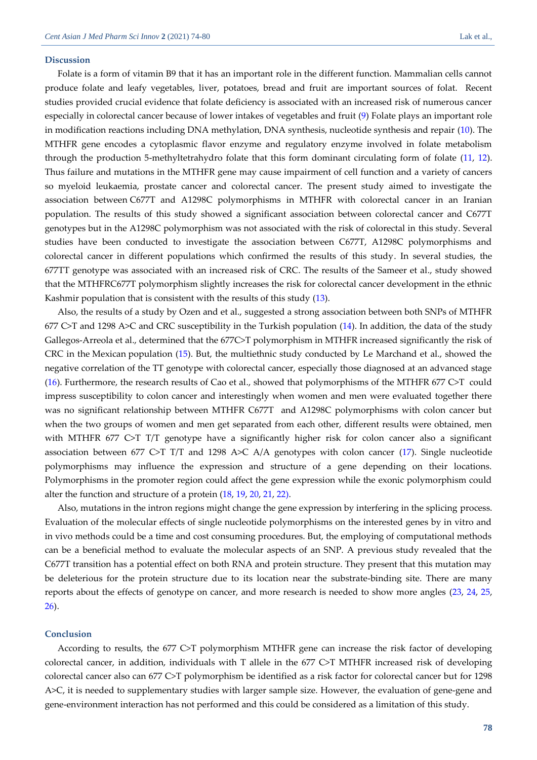#### **Discussion**

Folate is a form of vitamin B9 that it has an important role in the different function. Mammalian cells cannot produce folate and leafy vegetables, liver, potatoes, bread and fruit are important sources of folat. Recent studies provided crucial evidence that folate deficiency is associated with an increased risk of numerous cancer especially in colorectal cancer because of lower intakes of vegetables and fruit [\(9\)](#page-5-8) Folate plays an important role in modification reactions including DNA methylation, DNA synthesis, nucleotide synthesis and repair [\(10\)](#page-5-9). The MTHFR gene encodes a cytoplasmic flavor enzyme and regulatory enzyme involved in folate metabolism through the production 5-methyltetrahydro folate that this form dominant circulating form of folate [\(11,](#page-5-10) [12\)](#page-5-11). Thus failure and mutations in the MTHFR gene may cause impairment of cell function and a variety of cancers so myeloid leukaemia, prostate cancer and colorectal cancer. The present study aimed to investigate the association between C677T and A1298C polymorphisms in MTHFR with colorectal cancer in an Iranian population. The results of this study showed a significant association between colorectal cancer and C677T genotypes but in the A1298C polymorphism was not associated with the risk of colorectal in this study. Several studies have been conducted to investigate the association between C677T, A1298C polymorphisms and colorectal cancer in different populations which confirmed the results of this study. In several studies, the 677TT genotype was associated with an increased risk of CRC. The results of the Sameer et al., study showed that the MTHFRC677T polymorphism slightly increases the risk for colorectal cancer development in the ethnic Kashmir population that is consistent with the results of this study [\(13\)](#page-5-12).

Also, the results of a study by Ozen and et al., suggested a strong association between both SNPs of MTHFR 677 C>T and 1298 A>C and CRC susceptibility in the Turkish population  $(14)$ . In addition, the data of the study Gallegos-Arreola et al., determined that the 677C>T polymorphism in MTHFR increased significantly the risk of CRC in the Mexican population [\(15\)](#page-5-14). But, the multiethnic study conducted by Le Marchand et al., showed the negative correlation of the TT genotype with colorectal cancer, especially those diagnosed at an advanced stage [\(16\)](#page-5-15). Furthermore, the research results of Cao et al., showed that polymorphisms of the MTHFR 677 C>T could impress susceptibility to colon cancer and interestingly when women and men were evaluated together there was no significant relationship between MTHFR C677T and A1298C polymorphisms with colon cancer but when the two groups of women and men get separated from each other, different results were obtained, men with MTHFR 677 C>T T/T genotype have a significantly higher risk for colon cancer also a significant association between 677 C>T T/T and 1298 A>C A/A genotypes with colon cancer [\(17\)](#page-5-16). Single nucleotide polymorphisms may influence the expression and structure of a gene depending on their locations. Polymorphisms in the promoter region could affect the gene expression while the exonic polymorphism could alter the function and structure of a protein [\(18,](#page-6-0) [19,](#page-6-1) [20,](#page-6-2) [21,](#page-6-3) [22\)](#page-6-4).

Also, mutations in the intron regions might change the gene expression by interfering in the splicing process. Evaluation of the molecular effects of single nucleotide polymorphisms on the interested genes by in vitro and in vivo methods could be a time and cost consuming procedures. But, the employing of computational methods can be a beneficial method to evaluate the molecular aspects of an SNP. A previous study revealed that the C677T transition has a potential effect on both RNA and protein structure. They present that this mutation may be deleterious for the protein structure due to its location near the substrate-binding site. There are many reports about the effects of genotype on cancer, and more research is needed to show more angles [\(23,](#page-6-5) [24,](#page-6-6) [25,](#page-6-7)  [26\)](#page-6-8).

#### **Conclusion**

According to results, the 677 C>T polymorphism MTHFR gene can increase the risk factor of developing colorectal cancer, in addition, individuals with T allele in the 677 C>T MTHFR increased risk of developing colorectal cancer also can 677 C>T polymorphism be identified as a risk factor for colorectal cancer but for 1298 A>C, it is needed to supplementary studies with larger sample size. However, the evaluation of gene-gene and gene-environment interaction has not performed and this could be considered as a limitation of this study.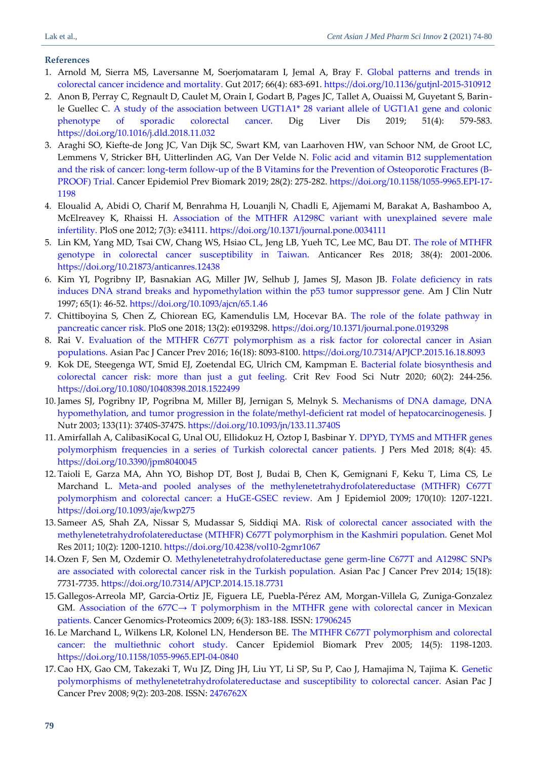# **References**

- <span id="page-5-0"></span>1. Arnold M, Sierra MS, Laversanne M, Soerjomataram I, Jemal A, Bray F. [Global patterns and trends in](https://gut.bmj.com/content/gutjnl/66/4/683.full.pdf)  [colorectal cancer incidence and mortality.](https://gut.bmj.com/content/gutjnl/66/4/683.full.pdf) Gut 2017; 66(4): 683-691. <https://doi.org/10.1136/gutjnl-2015-310912>
- <span id="page-5-1"></span>2. Anon B, Perray C, Regnault D, Caulet M, Orain I, Godart B, Pages JC, Tallet A, Ouaissi M, Guyetant S, Barinle Guellec C. [A study of the association between UGT1A1\\* 28 variant allele of UGT1A1 gene and colonic](https://freepaper.me/d/PDF/6f/6fb1282e37942346013a8f1d6b4586d7.pdf?hash=aNUeACDTV-8kUuaImhYBvg&doi=10.1016/j.dld.2018.11.032&title=&save=1%20%20%20%20%20%20%20%20%20%20%20%20%20%20%20%20style=)  [phenotype of sporadic colorectal cancer.](https://freepaper.me/d/PDF/6f/6fb1282e37942346013a8f1d6b4586d7.pdf?hash=aNUeACDTV-8kUuaImhYBvg&doi=10.1016/j.dld.2018.11.032&title=&save=1%20%20%20%20%20%20%20%20%20%20%20%20%20%20%20%20style=) Dig Liver Dis 2019; 51(4): 579-583. <https://doi.org/10.1016/j.dld.2018.11.032>
- <span id="page-5-2"></span>3. Araghi SO, Kiefte-de Jong JC, Van Dijk SC, Swart KM, van Laarhoven HW, van Schoor NM, de Groot LC, Lemmens V, Stricker BH, Uitterlinden AG, Van Der Velde N. [Folic acid and vitamin B12 supplementation](https://cebp.aacrjournals.org/content/cebp/28/2/275.full.pdf)  and the risk of cancer: long-term follow-up [of the B Vitamins for the Prevention of Osteoporotic Fractures \(B-](https://cebp.aacrjournals.org/content/cebp/28/2/275.full.pdf)[PROOF\) Trial.](https://cebp.aacrjournals.org/content/cebp/28/2/275.full.pdf) Cancer Epidemiol Prev Biomark 2019; 28(2): 275-282. [https://doi.org/10.1158/1055-9965.EPI-17-](https://doi.org/10.1158/1055-9965.EPI-17-1198) [1198](https://doi.org/10.1158/1055-9965.EPI-17-1198)
- <span id="page-5-3"></span>4. Eloualid A, Abidi O, Charif M, Benrahma H, Louanjli N, Chadli E, Ajjemami M, Barakat A, Bashamboo A, McElreavey K, Rhaissi H. [Association of the MTHFR A1298C variant with unexplained severe male](https://storage.googleapis.com/plos-corpus-prod/10.1371/journal.pone.0034111/1/pone.0034111.pdf?X-Goog-Algorithm=GOOG4-RSA-SHA256&X-Goog-Credential=wombat-sa%40plos-prod.iam.gserviceaccount.com%2F20210410%2Fauto%2Fstorage%2Fgoog4_request&X-Goog-Date=20210410T075022Z&X-Goog-Expires=3600&X-Goog-SignedHeaders=host&X-Goog-Signature=b43c20749843a4fb11b3294e2bf0cfdddd1e65021966e2dfa3b39c8d328987b02a2adce9b643c76b6877dcdf740f611f0bed7829b01c6e6b63bd047d66c84c2fb18f6bc26e5e69aef3cbfd9a87f9e84517d4c36deb5610b7c42c0c69615fe942bd7e50a74f072a82e87555a763a50df34d8fbdfa405d3cdabb6671f5f8f6dccbb6e73df4e3a974ff25694772154763f44fd3a3919adf3f7ce7da9fca54e6509e96996551c51ef9d775e55035a7a15aaa57cf65796bb9161a26436151e3c8e8be20250f3d4681cd3e43006344a5dec5064976470e6c747b9c5aabce1d251061948ae9902b66d708d512dd5f27c2e0907299b3addfe391a87e18f2ee8b789a370c)  [infertility.](https://storage.googleapis.com/plos-corpus-prod/10.1371/journal.pone.0034111/1/pone.0034111.pdf?X-Goog-Algorithm=GOOG4-RSA-SHA256&X-Goog-Credential=wombat-sa%40plos-prod.iam.gserviceaccount.com%2F20210410%2Fauto%2Fstorage%2Fgoog4_request&X-Goog-Date=20210410T075022Z&X-Goog-Expires=3600&X-Goog-SignedHeaders=host&X-Goog-Signature=b43c20749843a4fb11b3294e2bf0cfdddd1e65021966e2dfa3b39c8d328987b02a2adce9b643c76b6877dcdf740f611f0bed7829b01c6e6b63bd047d66c84c2fb18f6bc26e5e69aef3cbfd9a87f9e84517d4c36deb5610b7c42c0c69615fe942bd7e50a74f072a82e87555a763a50df34d8fbdfa405d3cdabb6671f5f8f6dccbb6e73df4e3a974ff25694772154763f44fd3a3919adf3f7ce7da9fca54e6509e96996551c51ef9d775e55035a7a15aaa57cf65796bb9161a26436151e3c8e8be20250f3d4681cd3e43006344a5dec5064976470e6c747b9c5aabce1d251061948ae9902b66d708d512dd5f27c2e0907299b3addfe391a87e18f2ee8b789a370c) PloS one 2012; 7(3): e34111. <https://doi.org/10.1371/journal.pone.0034111>
- <span id="page-5-4"></span>5. Lin KM, Yang MD, Tsai CW, Chang WS, Hsiao CL, Jeng LB, Yueh TC, Lee MC, Bau DT. [The role of MTHFR](https://ar.iiarjournals.org/content/anticanres/38/4/2001.full.pdf)  [genotype in colorectal cancer susceptibility in Taiwan.](https://ar.iiarjournals.org/content/anticanres/38/4/2001.full.pdf) Anticancer Res 2018; 38(4): 2001-2006. <https://doi.org/10.21873/anticanres.12438>
- <span id="page-5-5"></span>6. Kim YI, Pogribny IP, Basnakian AG, Miller JW, Selhub J, James SJ, Mason JB. [Folate deficiency in rats](https://d1wqtxts1xzle7.cloudfront.net/43778348/Folate_deficiency_in_rats_induces_DNA_st20160316-2349-1gof7ni.pdf?1458128842=&response-content-disposition=inline%3B+filename%3DFolate_deficiency_in_rats_induces_DNA_st.pdf&Expires=1618051995&Signature=TK7Kw8-6dOSA~LjhZEDrZ4Qtw1T4SJzNcR2iPo8lK85I0QpmnTIP6FXzHBoKFECmRSebdzL36q79W6A4hN7-UXc1eo5ni0LEQi1DOwdSiC9xRC0zKcRNCp-5VBxDMuKoJxyPZL838P6aY3TP7PTquwoxkWRM~d2JwRDJFjGNZ0NVUl9X1vN43a0o~Z~TlIPGYdglfcgBNpS8nNa8KDmI8tjvvdlzWHiaasq50tPsAcOfAKA7GPM~9nLBp9H8Jff3IGhkmO2dbE5LOWzeQC6mua9FJcQy0U7ASju1Y10GWOIWu3oXWTPBEvzEe7jtIVTyMCqq7Xsd5V4TzRSAOw44JQ__&Key-Pair-Id=APKAJLOHF5GGSLRBV4ZA)  [induces DNA strand breaks and hypomethylation within the p53 tumor suppressor gene.](https://d1wqtxts1xzle7.cloudfront.net/43778348/Folate_deficiency_in_rats_induces_DNA_st20160316-2349-1gof7ni.pdf?1458128842=&response-content-disposition=inline%3B+filename%3DFolate_deficiency_in_rats_induces_DNA_st.pdf&Expires=1618051995&Signature=TK7Kw8-6dOSA~LjhZEDrZ4Qtw1T4SJzNcR2iPo8lK85I0QpmnTIP6FXzHBoKFECmRSebdzL36q79W6A4hN7-UXc1eo5ni0LEQi1DOwdSiC9xRC0zKcRNCp-5VBxDMuKoJxyPZL838P6aY3TP7PTquwoxkWRM~d2JwRDJFjGNZ0NVUl9X1vN43a0o~Z~TlIPGYdglfcgBNpS8nNa8KDmI8tjvvdlzWHiaasq50tPsAcOfAKA7GPM~9nLBp9H8Jff3IGhkmO2dbE5LOWzeQC6mua9FJcQy0U7ASju1Y10GWOIWu3oXWTPBEvzEe7jtIVTyMCqq7Xsd5V4TzRSAOw44JQ__&Key-Pair-Id=APKAJLOHF5GGSLRBV4ZA) Am J Clin Nutr 1997; 65(1): 46-52. <https://doi.org/10.1093/ajcn/65.1.46>
- <span id="page-5-6"></span>7. Chittiboyina S, Chen Z, Chiorean EG, Kamendulis LM, Hocevar BA. [The role of the folate pathway in](https://storage.googleapis.com/plos-corpus-prod/10.1371/journal.pone.0193298/1/pone.0193298.pdf?X-Goog-Algorithm=GOOG4-RSA-SHA256&X-Goog-Credential=wombat-sa%40plos-prod.iam.gserviceaccount.com%2F20210410%2Fauto%2Fstorage%2Fgoog4_request&X-Goog-Date=20210410T074720Z&X-Goog-Expires=3600&X-Goog-SignedHeaders=host&X-Goog-Signature=0b856e271450926209b4f37c1e6194807444f5f6c195ef2690fb6685a694963ad75d867fc7ef73cdb1a9136f0abb024af1d3868513ffdad36b34ca5e585d2e5ac90b355273383ee6117e3ebea5c51fd8b560950f020e61429e367673d628a53a244ce95c1a6f5854f7438d0a0fb02212a48bcc6e35bbbc5fe9327aecc27c657c63703c2100a1767f2ff34fa2b1f0eae61f9cce0e284bf80b2e428e9fe061834da19b60b7b6c5a1bd220b2b6b5f61ca97d06955ea747e3c6627f6f1b2ab5cfbc97497d4fe44c236ae40c2e302e54b5a3880936b6a28e9eab5b5bc69e0955916819e2d0c181866924d026f6a24e0264d99c4d9b6d334bf528c97d5d022e0587772)  [pancreatic cancer risk.](https://storage.googleapis.com/plos-corpus-prod/10.1371/journal.pone.0193298/1/pone.0193298.pdf?X-Goog-Algorithm=GOOG4-RSA-SHA256&X-Goog-Credential=wombat-sa%40plos-prod.iam.gserviceaccount.com%2F20210410%2Fauto%2Fstorage%2Fgoog4_request&X-Goog-Date=20210410T074720Z&X-Goog-Expires=3600&X-Goog-SignedHeaders=host&X-Goog-Signature=0b856e271450926209b4f37c1e6194807444f5f6c195ef2690fb6685a694963ad75d867fc7ef73cdb1a9136f0abb024af1d3868513ffdad36b34ca5e585d2e5ac90b355273383ee6117e3ebea5c51fd8b560950f020e61429e367673d628a53a244ce95c1a6f5854f7438d0a0fb02212a48bcc6e35bbbc5fe9327aecc27c657c63703c2100a1767f2ff34fa2b1f0eae61f9cce0e284bf80b2e428e9fe061834da19b60b7b6c5a1bd220b2b6b5f61ca97d06955ea747e3c6627f6f1b2ab5cfbc97497d4fe44c236ae40c2e302e54b5a3880936b6a28e9eab5b5bc69e0955916819e2d0c181866924d026f6a24e0264d99c4d9b6d334bf528c97d5d022e0587772) PloS one 2018; 13(2): e0193298. <https://doi.org/10.1371/journal.pone.0193298>
- <span id="page-5-7"></span>8. Rai V. [Evaluation of the MTHFR C677T polymorphism as a risk factor for colorectal cancer in Asian](https://www.koreascience.or.kr/article/JAKO201605555186257.pdf)  [populations.](https://www.koreascience.or.kr/article/JAKO201605555186257.pdf) Asian Pac J Cancer Prev 2016; 16(18): 8093-8100. <https://doi.org/10.7314/APJCP.2015.16.18.8093>
- <span id="page-5-8"></span>9. Kok DE, Steegenga WT, Smid EJ, Zoetendal EG, Ulrich CM, Kampman E. [Bacterial folate biosynthesis and](https://www.tandfonline.com/doi/pdf/10.1080/10408398.2018.1522499)  [colorectal cancer risk: more than just a gut feeling.](https://www.tandfonline.com/doi/pdf/10.1080/10408398.2018.1522499) Crit Rev Food Sci Nutr 2020; 60(2): 244-256. <https://doi.org/10.1080/10408398.2018.1522499>
- <span id="page-5-9"></span>10.James SJ, Pogribny IP, Pogribna M, Miller BJ, Jernigan S, Melnyk S. [Mechanisms of DNA damage, DNA](https://freepaper.me/d/PDF/b7/b72bec49a00654aa4e620eb709608409.pdf?hash=Wcjb-P0JqBAkdF0ZjFslyw&doi=10.1093/jn/133.11.3740S&title=&save=1%20%20%20%20%20%20%20%20%20%20%20%20%20%20%20%20style=)  [hypomethylation, and tumor progression in the folate/methyl-deficient rat model of hepatocarcinogenesis.](https://freepaper.me/d/PDF/b7/b72bec49a00654aa4e620eb709608409.pdf?hash=Wcjb-P0JqBAkdF0ZjFslyw&doi=10.1093/jn/133.11.3740S&title=&save=1%20%20%20%20%20%20%20%20%20%20%20%20%20%20%20%20style=) J Nutr 2003; 133(11): 3740S-3747S.<https://doi.org/10.1093/jn/133.11.3740S>
- <span id="page-5-10"></span>11. Amirfallah A, CalibasiKocal G, Unal OU, Ellidokuz H, Oztop I, Basbinar Y. [DPYD, TYMS and MTHFR genes](https://www.mdpi.com/2075-4426/8/4/45/pdf)  [polymorphism frequencies in a series of Turkish colorectal cancer patients.](https://www.mdpi.com/2075-4426/8/4/45/pdf) J Pers Med 2018; 8(4): 45. <https://doi.org/10.3390/jpm8040045>
- <span id="page-5-11"></span>12. Taioli E, Garza MA, Ahn YO, Bishop DT, Bost J, Budai B, Chen K, Gemignani F, Keku T, Lima CS, Le Marchand L. [Meta-and pooled analyses of the methylenetetrahydrofolatereductase \(MTHFR\) C677T](http://citeseerx.ist.psu.edu/viewdoc/download?doi=10.1.1.973.290&rep=rep1&type=pdf)  [polymorphism and colorectal cancer: a HuGE-GSEC review.](http://citeseerx.ist.psu.edu/viewdoc/download?doi=10.1.1.973.290&rep=rep1&type=pdf) Am J Epidemiol 2009; 170(10): 1207-1221. <https://doi.org/10.1093/aje/kwp275>
- <span id="page-5-12"></span>13. Sameer AS, Shah ZA, Nissar S, Mudassar S, Siddiqi MA. [Risk of colorectal cancer associated with the](https://www.geneticsmr.com/sites/default/files/articles/year2011/vol10-2/pdf/gmr1067.pdf)  [methylenetetrahydrofolatereductase \(MTHFR\) C677T polymorphism in the Kashmiri population.](https://www.geneticsmr.com/sites/default/files/articles/year2011/vol10-2/pdf/gmr1067.pdf) Genet Mol Res 2011; 10(2): 1200-1210. <https://doi.org/10.4238/vol10-2gmr1067>
- <span id="page-5-13"></span>14. Ozen F, Sen M, Ozdemir O. [Methylenetetrahydrofolatereductase gene germ-line C677T and A1298C SNPs](https://www.koreascience.or.kr/article/JAKO201433150757815.pdf)  [are associated with colorectal cancer risk in the Turkish population.](https://www.koreascience.or.kr/article/JAKO201433150757815.pdf) Asian Pac J Cancer Prev 2014; 15(18): 7731-7735. <https://doi.org/10.7314/APJCP.2014.15.18.7731>
- <span id="page-5-14"></span>15. Gallegos-Arreola MP, Garcia-Ortiz JE, Figuera LE, Puebla-Pérez AM, Morgan-Villela G, Zuniga-Gonzalez GM. Association of the 677C $\rightarrow$  T polymorphism in the MTHFR gene with colorectal cancer in Mexican [patients.](https://cgp.iiarjournals.org/content/cgp/6/3/183.full.pdf) Cancer Genomics-Proteomics 2009; 6(3): 183-188. ISSN: [17906245](https://www.google.com/search?q=issn%17906245)
- <span id="page-5-15"></span>16. Le Marchand L, Wilkens LR, Kolonel LN, Henderson BE. [The MTHFR C677T polymorphism and colorectal](https://cebp.aacrjournals.org/content/cebp/14/5/1198.full.pdf)  [cancer: the multiethnic cohort study.](https://cebp.aacrjournals.org/content/cebp/14/5/1198.full.pdf) Cancer Epidemiol Biomark Prev 2005; 14(5): 1198-1203. <https://doi.org/10.1158/1055-9965.EPI-04-0840>
- <span id="page-5-16"></span>17. Cao HX, Gao CM, Takezaki T, Wu JZ, Ding JH, Liu YT, Li SP, Su P, Cao J, Hamajima N, Tajima K. [Genetic](https://www.researchgate.net/profile/Jia-Cao-3/publication/23180244_Genetic_Polymorphisms_of_Methylenetetrahydrofolate_Reductase_and_Susceptibility_to_Colorectal_Cancer/links/09e41509a3aa89290f000000/Genetic-Polymorphisms-of-Methylenetetrahydrofolate-Reductase-and-Susceptibility-to-Colorectal-Cancer.pdf)  [polymorphisms of methylenetetrahydrofolatereductase and susceptibility to colorectal cancer.](https://www.researchgate.net/profile/Jia-Cao-3/publication/23180244_Genetic_Polymorphisms_of_Methylenetetrahydrofolate_Reductase_and_Susceptibility_to_Colorectal_Cancer/links/09e41509a3aa89290f000000/Genetic-Polymorphisms-of-Methylenetetrahydrofolate-Reductase-and-Susceptibility-to-Colorectal-Cancer.pdf) Asian Pac J Cancer Prev 2008; 9(2): 203-208. ISSN[: 2476762X](https://www.google.com/search?q=issn%2476762X)